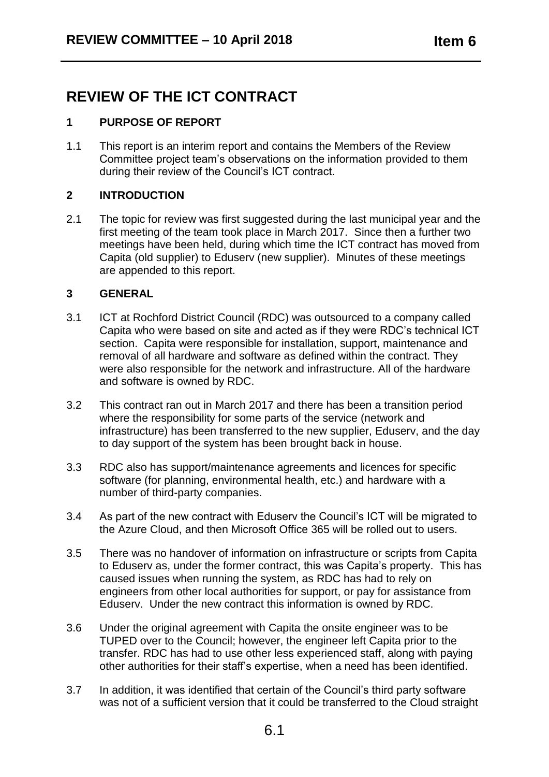# **REVIEW OF THE ICT CONTRACT**

# **1 PURPOSE OF REPORT**

1.1 This report is an interim report and contains the Members of the Review Committee project team's observations on the information provided to them during their review of the Council's ICT contract.

# **2 INTRODUCTION**

2.1 The topic for review was first suggested during the last municipal year and the first meeting of the team took place in March 2017. Since then a further two meetings have been held, during which time the ICT contract has moved from Capita (old supplier) to Eduserv (new supplier). Minutes of these meetings are appended to this report.

### **3 GENERAL**

- 3.1 ICT at Rochford District Council (RDC) was outsourced to a company called Capita who were based on site and acted as if they were RDC's technical ICT section. Capita were responsible for installation, support, maintenance and removal of all hardware and software as defined within the contract. They were also responsible for the network and infrastructure. All of the hardware and software is owned by RDC.
- 3.2 This contract ran out in March 2017 and there has been a transition period where the responsibility for some parts of the service (network and infrastructure) has been transferred to the new supplier, Eduserv, and the day to day support of the system has been brought back in house.
- 3.3 RDC also has support/maintenance agreements and licences for specific software (for planning, environmental health, etc.) and hardware with a number of third-party companies.
- 3.4 As part of the new contract with Eduserv the Council's ICT will be migrated to the Azure Cloud, and then Microsoft Office 365 will be rolled out to users.
- 3.5 There was no handover of information on infrastructure or scripts from Capita to Eduserv as, under the former contract, this was Capita's property. This has caused issues when running the system, as RDC has had to rely on engineers from other local authorities for support, or pay for assistance from Eduserv. Under the new contract this information is owned by RDC.
- 3.6 Under the original agreement with Capita the onsite engineer was to be TUPED over to the Council; however, the engineer left Capita prior to the transfer. RDC has had to use other less experienced staff, along with paying other authorities for their staff's expertise, when a need has been identified.
- 3.7 In addition, it was identified that certain of the Council's third party software was not of a sufficient version that it could be transferred to the Cloud straight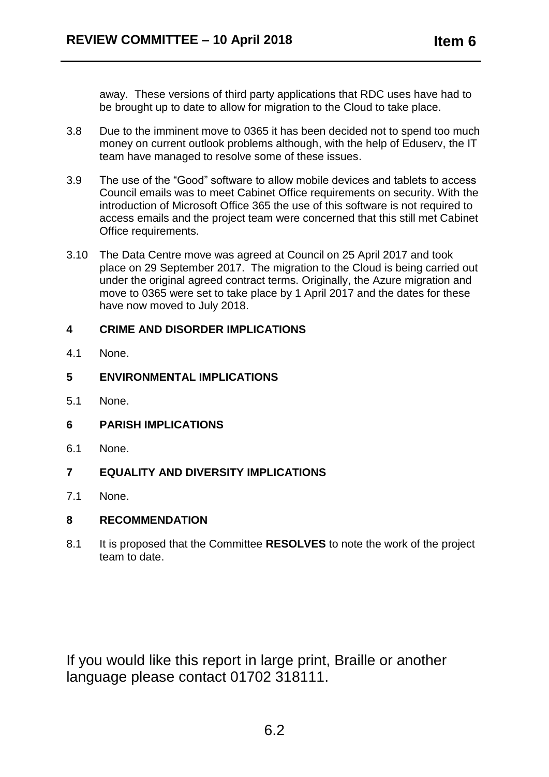away. These versions of third party applications that RDC uses have had to be brought up to date to allow for migration to the Cloud to take place.

- 3.8 Due to the imminent move to 0365 it has been decided not to spend too much money on current outlook problems although, with the help of Eduserv, the IT team have managed to resolve some of these issues.
- 3.9 The use of the "Good" software to allow mobile devices and tablets to access Council emails was to meet Cabinet Office requirements on security. With the introduction of Microsoft Office 365 the use of this software is not required to access emails and the project team were concerned that this still met Cabinet Office requirements.
- 3.10 The Data Centre move was agreed at Council on 25 April 2017 and took place on 29 September 2017. The migration to the Cloud is being carried out under the original agreed contract terms. Originally, the Azure migration and move to 0365 were set to take place by 1 April 2017 and the dates for these have now moved to July 2018.

# **4 CRIME AND DISORDER IMPLICATIONS**

4.1 None.

### **5 ENVIRONMENTAL IMPLICATIONS**

5.1 None.

#### **6 PARISH IMPLICATIONS**

- 6.1 None.
- **7 EQUALITY AND DIVERSITY IMPLICATIONS**
- 7.1 None.

### **8 RECOMMENDATION**

8.1 It is proposed that the Committee **RESOLVES** to note the work of the project team to date.

If you would like this report in large print, Braille or another language please contact 01702 318111.